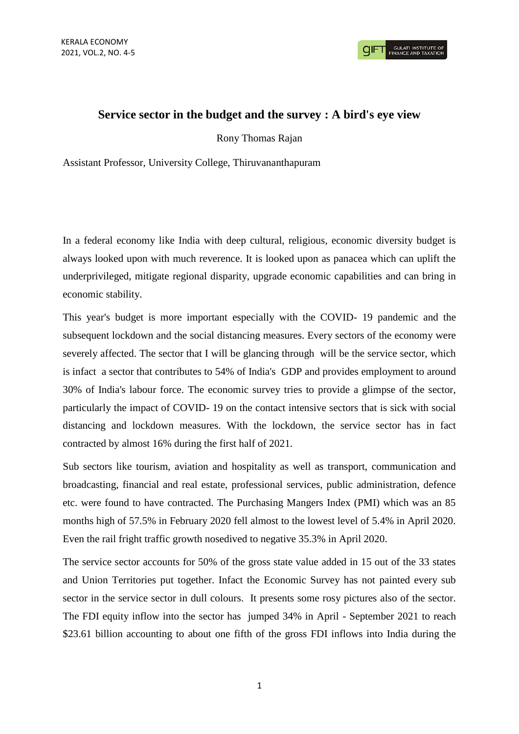**GULATI INSTITUTE O**<br>FINANCE AND TAXATIO

## **Service sector in the budget and the survey : A bird's eye view**

Rony Thomas Rajan

Assistant Professor, University College, Thiruvananthapuram

In a federal economy like India with deep cultural, religious, economic diversity budget is always looked upon with much reverence. It is looked upon as panacea which can uplift the underprivileged, mitigate regional disparity, upgrade economic capabilities and can bring in economic stability.

This year's budget is more important especially with the COVID- 19 pandemic and the subsequent lockdown and the social distancing measures. Every sectors of the economy were severely affected. The sector that I will be glancing through will be the service sector, which is infact a sector that contributes to 54% of India's GDP and provides employment to around 30% of India's labour force. The economic survey tries to provide a glimpse of the sector, particularly the impact of COVID- 19 on the contact intensive sectors that is sick with social distancing and lockdown measures. With the lockdown, the service sector has in fact contracted by almost 16% during the first half of 2021.

Sub sectors like tourism, aviation and hospitality as well as transport, communication and broadcasting, financial and real estate, professional services, public administration, defence etc. were found to have contracted. The Purchasing Mangers Index (PMI) which was an 85 months high of 57.5% in February 2020 fell almost to the lowest level of 5.4% in April 2020. Even the rail fright traffic growth nosedived to negative 35.3% in April 2020.

The service sector accounts for 50% of the gross state value added in 15 out of the 33 states and Union Territories put together. Infact the Economic Survey has not painted every sub sector in the service sector in dull colours. It presents some rosy pictures also of the sector. The FDI equity inflow into the sector has jumped 34% in April - September 2021 to reach \$23.61 billion accounting to about one fifth of the gross FDI inflows into India during the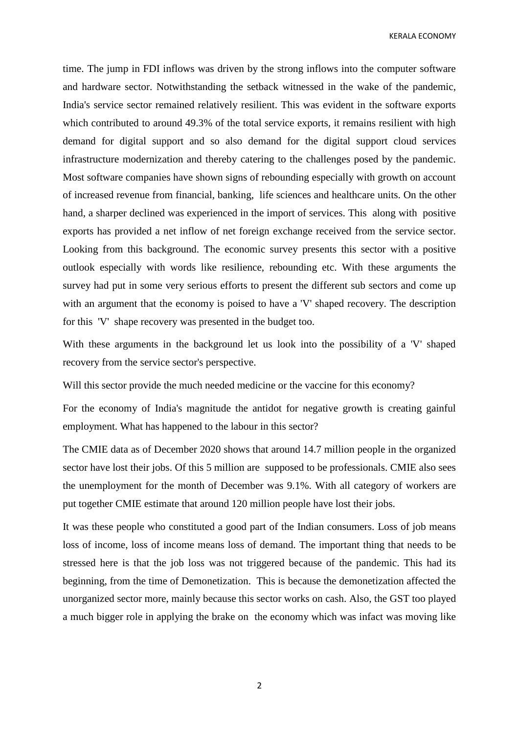KERALA ECONOMY

time. The jump in FDI inflows was driven by the strong inflows into the computer software and hardware sector. Notwithstanding the setback witnessed in the wake of the pandemic, India's service sector remained relatively resilient. This was evident in the software exports which contributed to around 49.3% of the total service exports, it remains resilient with high demand for digital support and so also demand for the digital support cloud services infrastructure modernization and thereby catering to the challenges posed by the pandemic. Most software companies have shown signs of rebounding especially with growth on account of increased revenue from financial, banking, life sciences and healthcare units. On the other hand, a sharper declined was experienced in the import of services. This along with positive exports has provided a net inflow of net foreign exchange received from the service sector. Looking from this background. The economic survey presents this sector with a positive outlook especially with words like resilience, rebounding etc. With these arguments the survey had put in some very serious efforts to present the different sub sectors and come up with an argument that the economy is poised to have a 'V' shaped recovery. The description for this 'V' shape recovery was presented in the budget too.

With these arguments in the background let us look into the possibility of a 'V' shaped recovery from the service sector's perspective.

Will this sector provide the much needed medicine or the vaccine for this economy?

For the economy of India's magnitude the antidot for negative growth is creating gainful employment. What has happened to the labour in this sector?

The CMIE data as of December 2020 shows that around 14.7 million people in the organized sector have lost their jobs. Of this 5 million are supposed to be professionals. CMIE also sees the unemployment for the month of December was 9.1%. With all category of workers are put together CMIE estimate that around 120 million people have lost their jobs.

It was these people who constituted a good part of the Indian consumers. Loss of job means loss of income, loss of income means loss of demand. The important thing that needs to be stressed here is that the job loss was not triggered because of the pandemic. This had its beginning, from the time of Demonetization. This is because the demonetization affected the unorganized sector more, mainly because this sector works on cash. Also, the GST too played a much bigger role in applying the brake on the economy which was infact was moving like

2